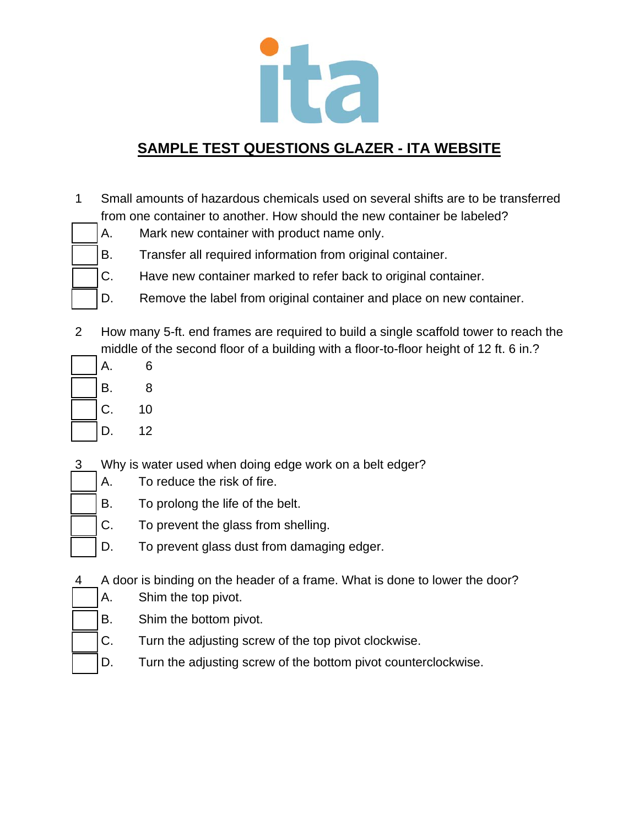

- 1 Small amounts of hazardous chemicals used on several shifts are to be transferred from one container to another. How should the new container be labeled?
	- A. Mark new container with product name only.
	- B. Transfer all required information from original container.
	- C. Have new container marked to refer back to original container.
	- D. Remove the label from original container and place on new container.
- 2 How many 5-ft. end frames are required to build a single scaffold tower to reach the middle of the second floor of a building with a floor-to-floor height of 12 ft. 6 in.?
- A. 6 B. 8 C. 10 D. 12
- 3 Why is water used when doing edge work on a belt edger?
	- A. To reduce the risk of fire.
	- B. To prolong the life of the belt.
		- C. To prevent the glass from shelling.
		- D. To prevent glass dust from damaging edger.
- 4 A door is binding on the header of a frame. What is done to lower the door?
	- A. Shim the top pivot.
	- B. Shim the bottom pivot.
	- C. Turn the adjusting screw of the top pivot clockwise.
	- D. Turn the adjusting screw of the bottom pivot counterclockwise.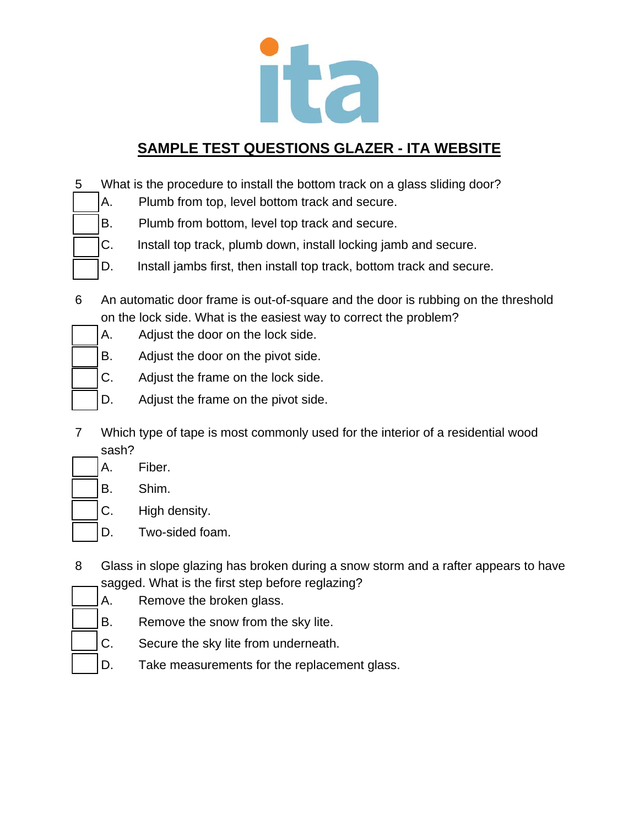

- 5 What is the procedure to install the bottom track on a glass sliding door?
	- A. Plumb from top, level bottom track and secure.
	- B. Plumb from bottom, level top track and secure.
	- C. Install top track, plumb down, install locking jamb and secure.
	- D. Install jambs first, then install top track, bottom track and secure.
- 6 An automatic door frame is out-of-square and the door is rubbing on the threshold on the lock side. What is the easiest way to correct the problem?
	- A. Adjust the door on the lock side.
	- B. Adjust the door on the pivot side.
		- C. Adjust the frame on the lock side.
		- D. Adjust the frame on the pivot side.
- 7 Which type of tape is most commonly used for the interior of a residential wood sash?
	- A. Fiber.
	- B. Shim.
	- C. High density.
	- D. Two-sided foam.
- 8 Glass in slope glazing has broken during a snow storm and a rafter appears to have sagged. What is the first step before reglazing?
- 
- A. Remove the broken glass.
	- B. Remove the snow from the sky lite.
	- C. Secure the sky lite from underneath.
	- D. Take measurements for the replacement glass.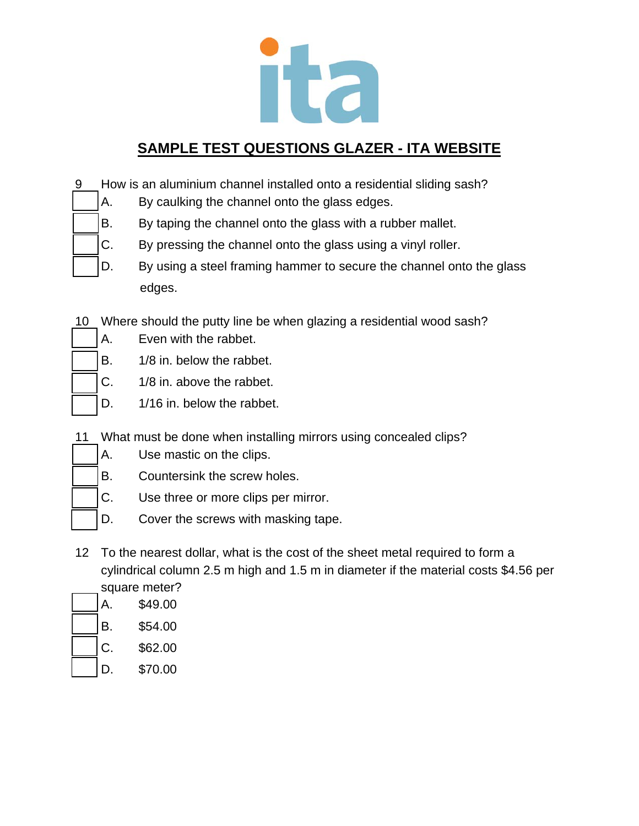

- 9 How is an aluminium channel installed onto a residential sliding sash?
	- A. By caulking the channel onto the glass edges.
	- B. By taping the channel onto the glass with a rubber mallet.
	- C. By pressing the channel onto the glass using a vinyl roller.
	- D. By using a steel framing hammer to secure the channel onto the glass edges.
- 10 Where should the putty line be when glazing a residential wood sash?
	- A. Even with the rabbet.
	- B. 1/8 in. below the rabbet.
	- C. 1/8 in. above the rabbet.
	- D. 1/16 in. below the rabbet.
- 11 What must be done when installing mirrors using concealed clips?
	- A. Use mastic on the clips.
	- B. Countersink the screw holes.
	- C. Use three or more clips per mirror.
		- D. Cover the screws with masking tape.
- 12 To the nearest dollar, what is the cost of the sheet metal required to form a cylindrical column 2.5 m high and 1.5 m in diameter if the material costs \$4.56 per square meter?

| А. | \$49.00 |
|----|---------|
| В. | \$54.00 |
| C. | \$62.00 |
|    | \$70.00 |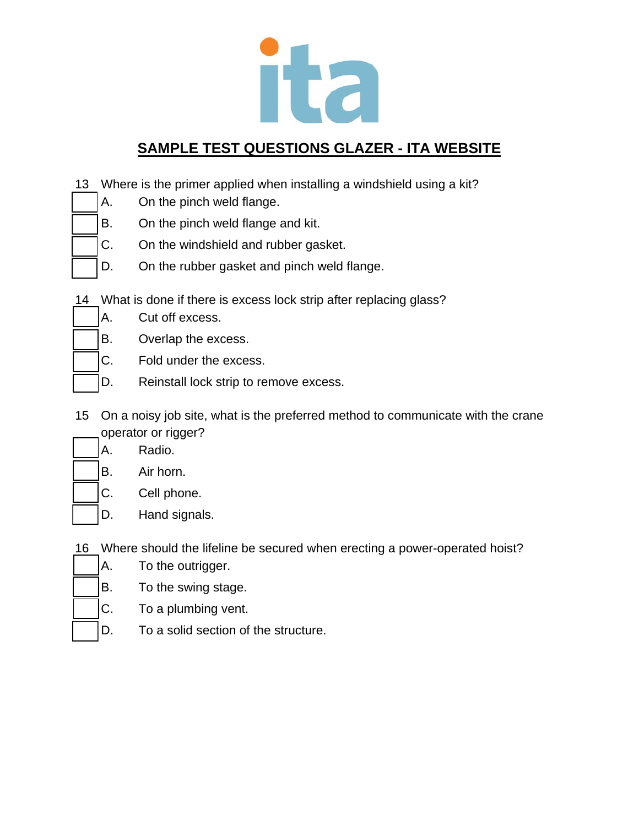

- 13 Where is the primer applied when installing a windshield using a kit?
	- A. On the pinch weld flange.
	- B. On the pinch weld flange and kit.
		- C. On the windshield and rubber gasket.
		- D. On the rubber gasket and pinch weld flange.
- 14 What is done if there is excess lock strip after replacing glass?
	- A. Cut off excess.
	- B. Overlap the excess.
	- C. Fold under the excess.
	- D. Reinstall lock strip to remove excess.
- 15 On a noisy job site, what is the preferred method to communicate with the crane operator or rigger?
- A. Radio.
	- B. Air horn.
	- C. Cell phone.
		- D. Hand signals.
- 16 Where should the lifeline be secured when erecting a power-operated hoist?
	- A. To the outrigger.
	- B. To the swing stage.
	- C. To a plumbing vent.
	- D. To a solid section of the structure.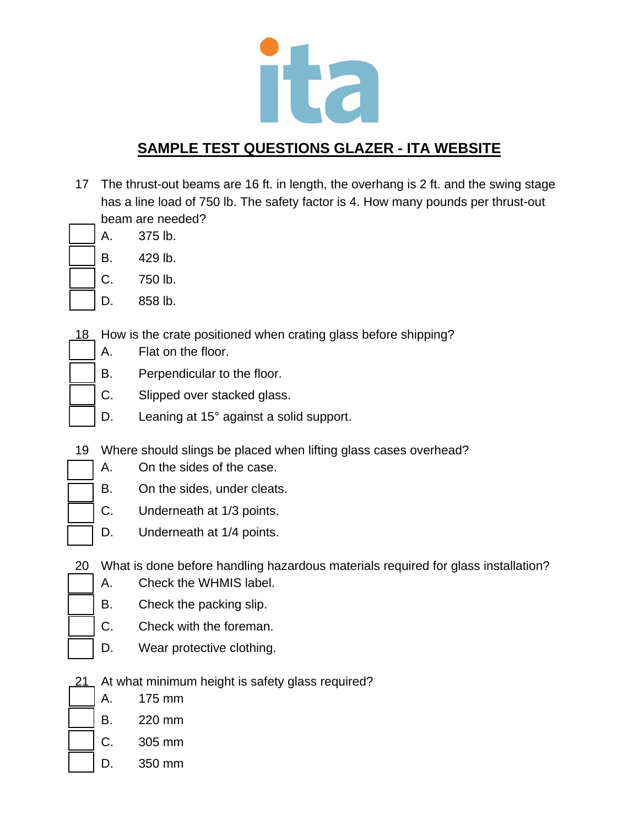

- 17 The thrust-out beams are 16 ft. in length, the overhang is 2 ft. and the swing stage has a line load of 750 lb. The safety factor is 4. How many pounds per thrust-out beam are needed?
	- A. 375 lb.
	- B. 429 lb.
		- C. 750 lb.
	- D. 858 lb.
- 18 How is the crate positioned when crating glass before shipping?
	- A. Flat on the floor.
	- B. Perpendicular to the floor.
	- C. Slipped over stacked glass.
	- D. Leaning at 15° against a solid support.
- 19 Where should slings be placed when lifting glass cases overhead?
	- A. On the sides of the case.
	- B. On the sides, under cleats.
	- C. Underneath at 1/3 points.
	- D. Underneath at 1/4 points.
- 20 What is done before handling hazardous materials required for glass installation?
	- A. Check the WHMIS label.
	- B. Check the packing slip.
	- C. Check with the foreman.
	- D. Wear protective clothing.
- 21 At what minimum height is safety glass required?
	- A. 175 mm
	- B. 220 mm
	- C. 305 mm
	- D. 350 mm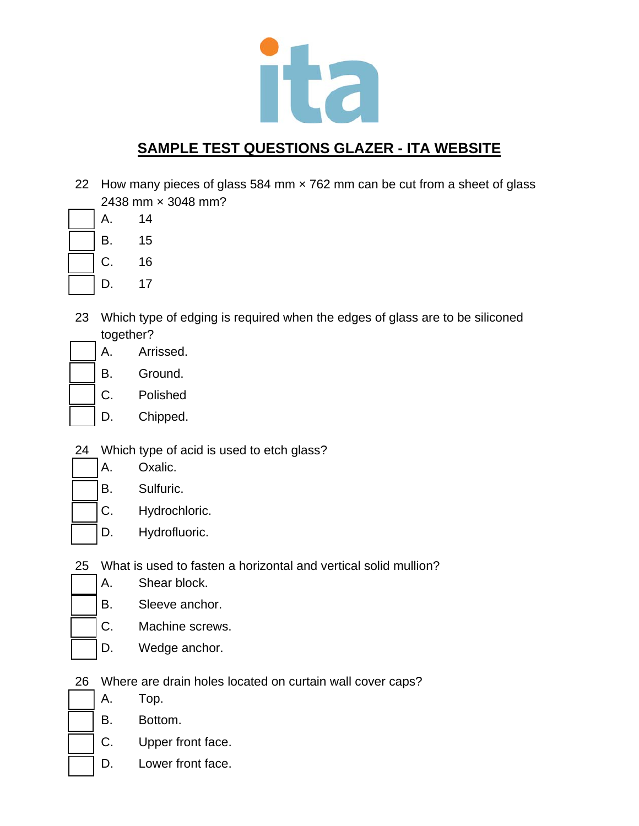

22 How many pieces of glass 584 mm x 762 mm can be cut from a sheet of glass 2438 mm × 3048 mm?

| А. | 14 |
|----|----|
| В. | 15 |
| C. | 16 |
| D. | 17 |

- 23 Which type of edging is required when the edges of glass are to be siliconed together?
	- A. Arrissed.
	- B. Ground.
	- C. Polished
	- D. Chipped.
- 24 Which type of acid is used to etch glass?
	- A. Oxalic.
	- B. Sulfuric.
	- C. Hydrochloric.
	- D. Hydrofluoric.
- 25 What is used to fasten a horizontal and vertical solid mullion?
	- A. Shear block.
	- B. Sleeve anchor.
	- C. Machine screws.
		- D. Wedge anchor.
- 26 Where are drain holes located on curtain wall cover caps?
	- A. Top.
	- B. Bottom.
	- C. Upper front face.
	- D. Lower front face.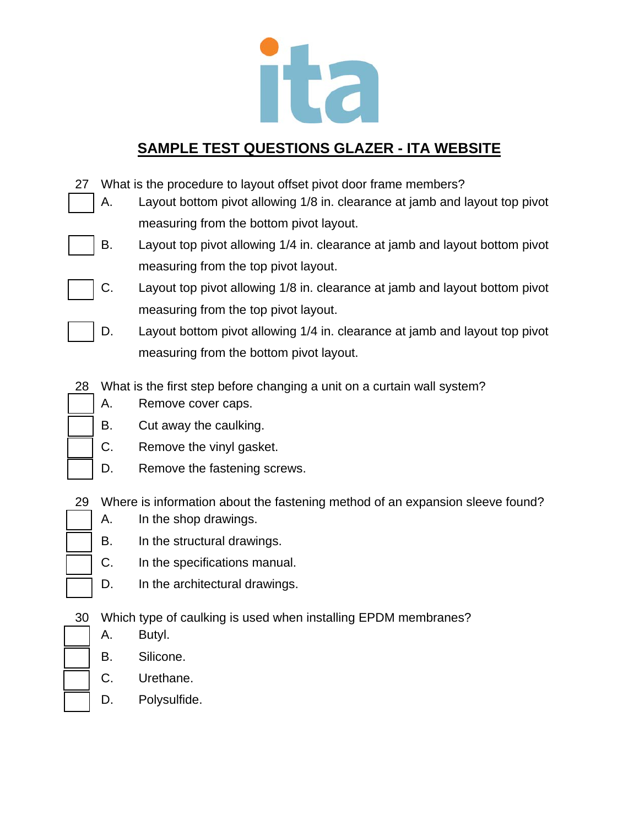

- 27 What is the procedure to layout offset pivot door frame members?
	- A. Layout bottom pivot allowing 1/8 in. clearance at jamb and layout top pivot measuring from the bottom pivot layout.
	- B. Layout top pivot allowing 1/4 in. clearance at jamb and layout bottom pivot measuring from the top pivot layout.
	- C. Layout top pivot allowing 1/8 in. clearance at jamb and layout bottom pivot measuring from the top pivot layout.
		- D. Layout bottom pivot allowing 1/4 in. clearance at jamb and layout top pivot measuring from the bottom pivot layout.
- 28 What is the first step before changing a unit on a curtain wall system?
	- A. Remove cover caps.
	- B. Cut away the caulking.
	- C. Remove the vinyl gasket.
	- D. Remove the fastening screws.
- 29 Where is information about the fastening method of an expansion sleeve found?
	- A. In the shop drawings.
	- B. In the structural drawings.
	- C. In the specifications manual.
	- D. In the architectural drawings.

30 Which type of caulking is used when installing EPDM membranes?

- A. Butyl.
	- B. Silicone.
	- C. Urethane.
	- D. Polysulfide.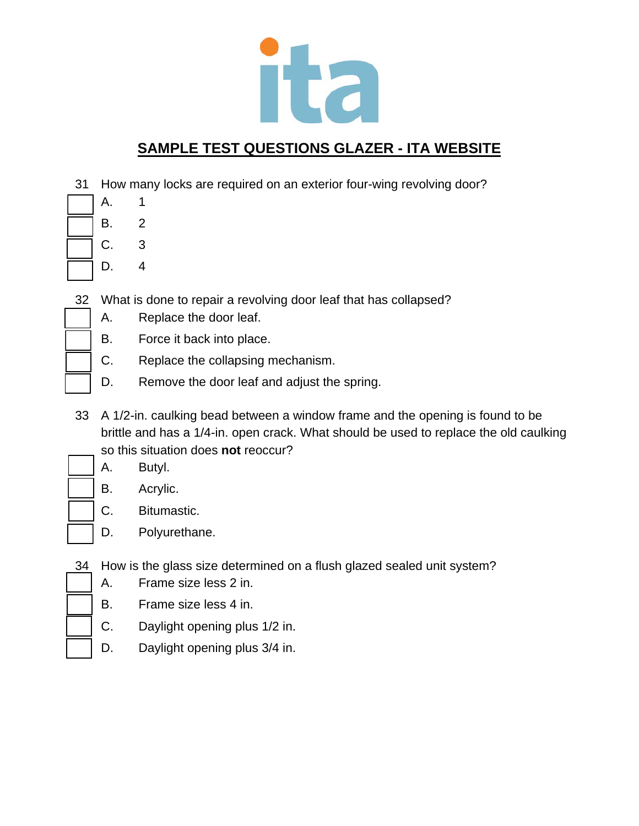

- 31 How many locks are required on an exterior four-wing revolving door?
	- A. 1
		- B. 2
		- C. 3 D. 4
- 32 What is done to repair a revolving door leaf that has collapsed?
	- A. Replace the door leaf.
	- B. Force it back into place.
	- C. Replace the collapsing mechanism.
	- D. Remove the door leaf and adjust the spring.
- 33 A 1/2-in. caulking bead between a window frame and the opening is found to be brittle and has a 1/4-in. open crack. What should be used to replace the old caulking so this situation does **not** reoccur?
	- A. Butyl.
		- B. Acrylic.
		- C. Bitumastic.
	- D. Polyurethane.
- 34 How is the glass size determined on a flush glazed sealed unit system?
	- A. Frame size less 2 in.
		- B. Frame size less 4 in.
	- C. Daylight opening plus 1/2 in.
	- D. Daylight opening plus 3/4 in.